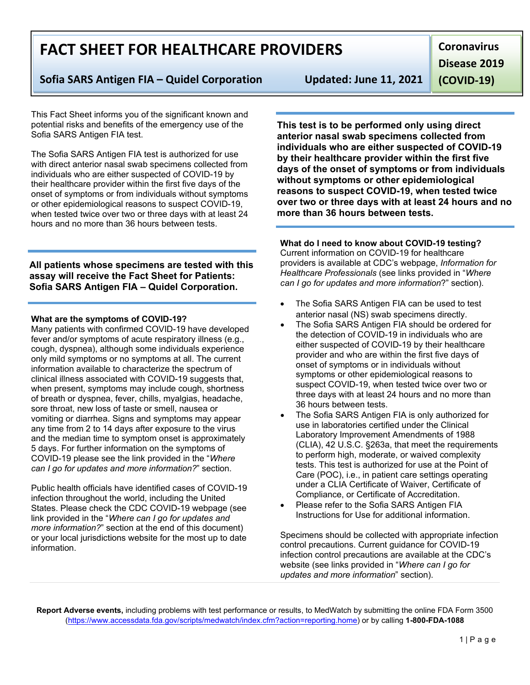**Report Adverse events,** including problems with test performance or results, to MedWatch by submitting the online FDA Form 3500 [\(https://www.accessdata.fda.gov/scripts/medwatch/index.cfm?action=reporting.home\)](https://www.accessdata.fda.gov/scripts/medwatch/index.cfm?action=reporting.home) or by calling **1-800-FDA-1088**

# **FACT SHEET FOR HEALTHCARE PROVIDERS**

## **Sofia SARS Antigen FIA – Quidel Corporation Updated: June 11, 2021**

This Fact Sheet informs you of the significant known and potential risks and benefits of the emergency use of the Sofia SARS Antigen FIA test.

The Sofia SARS Antigen FIA test is authorized for use with direct anterior nasal swab specimens collected from individuals who are either suspected of COVID-19 by their healthcare provider within the first five days of the onset of symptoms or from individuals without symptoms or other epidemiological reasons to suspect COVID-19, when tested twice over two or three days with at least 24 hours and no more than 36 hours between tests.

**All patients whose specimens are tested with this assay will receive the Fact Sheet for Patients: Sofia SARS Antigen FIA – Quidel Corporation.**

#### **What are the symptoms of COVID-19?**

Many patients with confirmed COVID-19 have developed fever and/or symptoms of acute respiratory illness (e.g., cough, dyspnea), although some individuals experience only mild symptoms or no symptoms at all. The current information available to characterize the spectrum of clinical illness associated with COVID-19 suggests that, when present, symptoms may include cough, shortness of breath or dyspnea, fever, chills, myalgias, headache, sore throat, new loss of taste or smell, nausea or vomiting or diarrhea. Signs and symptoms may appear any time from 2 to 14 days after exposure to the virus and the median time to symptom onset is approximately 5 days. For further information on the symptoms of COVID-19 please see the link provided in the "*Where can I go for updates and more information?*" section.

Public health officials have identified cases of COVID-19 infection throughout the world, including the United States. Please check the CDC COVID-19 webpage (see link provided in the "*Where can I go for updates and more information?*" section at the end of this document) or your local jurisdictions website for the most up to date information.

**This test is to be performed only using direct anterior nasal swab specimens collected from individuals who are either suspected of COVID-19 by their healthcare provider within the first five days of the onset of symptoms or from individuals without symptoms or other epidemiological reasons to suspect COVID-19, when tested twice over two or three days with at least 24 hours and no more than 36 hours between tests.**

**What do I need to know about COVID-19 testing?** Current information on COVID-19 for healthcare providers is available at CDC's webpage, *Information for Healthcare Professionals* (see links provided in "*Where can I go for updates and more information*?" section).

- The Sofia SARS Antigen FIA can be used to test anterior nasal (NS) swab specimens directly.
- The Sofia SARS Antigen FIA should be ordered for the detection of COVID-19 in individuals who are either suspected of COVID-19 by their healthcare provider and who are within the first five days of onset of symptoms or in individuals without symptoms or other epidemiological reasons to suspect COVID-19, when tested twice over two or three days with at least 24 hours and no more than 36 hours between tests.
- The Sofia SARS Antigen FIA is only authorized for use in laboratories certified under the Clinical Laboratory Improvement Amendments of 1988 (CLIA), 42 U.S.C. §263a, that meet the requirements to perform high, moderate, or waived complexity tests. This test is authorized for use at the Point of Care (POC), i.e., in patient care settings operating under a CLIA Certificate of Waiver, Certificate of Compliance, or Certificate of Accreditation.
- Please refer to the Sofia SARS Antigen FIA Instructions for Use for additional information.

Specimens should be collected with appropriate infection control precautions. Current guidance for COVID-19 infection control precautions are available at the CDC's website (see links provided in "*Where can I go for updates and more information*" section).

**Coronavirus** 

**Disease 2019** 

**(COVID-19)**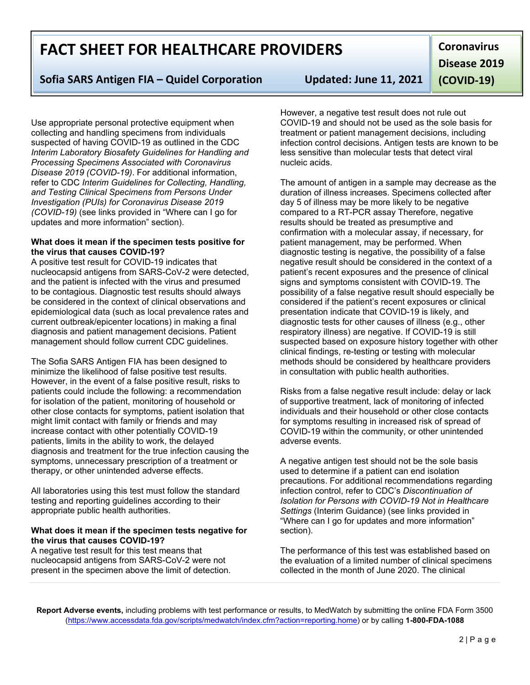**Report Adverse events,** including problems with test performance or results, to MedWatch by submitting the online FDA Form 3500 [\(https://www.accessdata.fda.gov/scripts/medwatch/index.cfm?action=reporting.home\)](https://www.accessdata.fda.gov/scripts/medwatch/index.cfm?action=reporting.home) or by calling **1-800-FDA-1088**

# **FACT SHEET FOR HEALTHCARE PROVIDERS**

## **Sofia SARS Antigen FIA – Quidel Corporation Updated: June 11, 2021**

Use appropriate personal protective equipment when collecting and handling specimens from individuals suspected of having COVID-19 as outlined in the CDC *Interim Laboratory Biosafety Guidelines for Handling and Processing Specimens Associated with Coronavirus Disease 2019 (COVID-19)*. For additional information, refer to CDC *Interim Guidelines for Collecting, Handling, and Testing Clinical Specimens from Persons Under Investigation (PUIs) for Coronavirus Disease 2019 (COVID-19)* (see links provided in "Where can I go for updates and more information" section).

#### **What does it mean if the specimen tests positive for the virus that causes COVID-19?**

A positive test result for COVID-19 indicates that nucleocapsid antigens from SARS-CoV-2 were detected, and the patient is infected with the virus and presumed to be contagious. Diagnostic test results should always be considered in the context of clinical observations and epidemiological data (such as local prevalence rates and current outbreak/epicenter locations) in making a final diagnosis and patient management decisions. Patient management should follow current CDC guidelines.

The Sofia SARS Antigen FIA has been designed to minimize the likelihood of false positive test results. However, in the event of a false positive result, risks to patients could include the following: a recommendation for isolation of the patient, monitoring of household or other close contacts for symptoms, patient isolation that might limit contact with family or friends and may increase contact with other potentially COVID-19 patients, limits in the ability to work, the delayed diagnosis and treatment for the true infection causing the symptoms, unnecessary prescription of a treatment or therapy, or other unintended adverse effects.

All laboratories using this test must follow the standard testing and reporting guidelines according to their appropriate public health authorities.

#### **What does it mean if the specimen tests negative for the virus that causes COVID-19?**

A negative test result for this test means that nucleocapsid antigens from SARS-CoV-2 were not present in the specimen above the limit of detection.

However, a negative test result does not rule out COVID-19 and should not be used as the sole basis for treatment or patient management decisions, including infection control decisions. Antigen tests are known to be less sensitive than molecular tests that detect viral nucleic acids.

The amount of antigen in a sample may decrease as the duration of illness increases. Specimens collected after day 5 of illness may be more likely to be negative compared to a RT-PCR assay Therefore, negative results should be treated as presumptive and confirmation with a molecular assay, if necessary, for patient management, may be performed. When diagnostic testing is negative, the possibility of a false negative result should be considered in the context of a patient's recent exposures and the presence of clinical signs and symptoms consistent with COVID-19. The possibility of a false negative result should especially be considered if the patient's recent exposures or clinical presentation indicate that COVID-19 is likely, and diagnostic tests for other causes of illness (e.g., other respiratory illness) are negative. If COVID-19 is still suspected based on exposure history together with other clinical findings, re-testing or testing with molecular methods should be considered by healthcare providers in consultation with public health authorities.

Risks from a false negative result include: delay or lack of supportive treatment, lack of monitoring of infected individuals and their household or other close contacts for symptoms resulting in increased risk of spread of COVID-19 within the community, or other unintended adverse events.

A negative antigen test should not be the sole basis used to determine if a patient can end isolation precautions. For additional recommendations regarding infection control, refer to CDC's *Discontinuation of Isolation for Persons with COVID-19 Not in Healthcare Settings* (Interim Guidance) (see links provided in "Where can I go for updates and more information" section).

The performance of this test was established based on the evaluation of a limited number of clinical specimens collected in the month of June 2020. The clinical

**Coronavirus Disease 2019 (COVID-19)**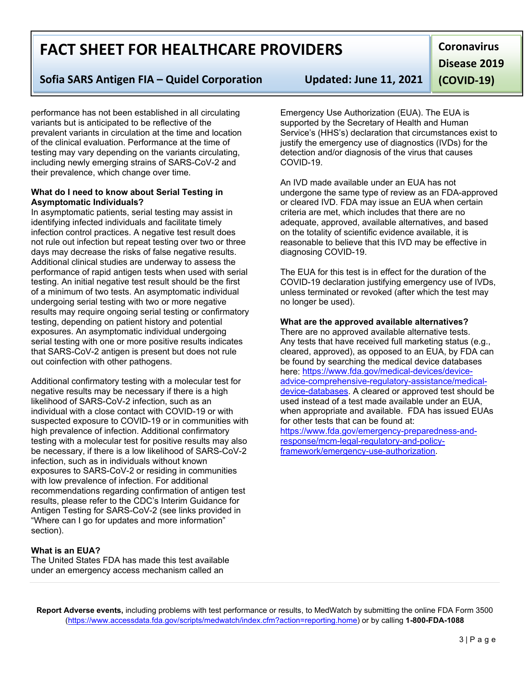**Report Adverse events,** including problems with test performance or results, to MedWatch by submitting the online FDA Form 3500 [\(https://www.accessdata.fda.gov/scripts/medwatch/index.cfm?action=reporting.home\)](https://www.accessdata.fda.gov/scripts/medwatch/index.cfm?action=reporting.home) or by calling **1-800-FDA-1088**

# **FACT SHEET FOR HEALTHCARE PROVIDERS**

## **Sofia SARS Antigen FIA – Quidel Corporation Updated: June 11, 2021**

performance has not been established in all circulating variants but is anticipated to be reflective of the prevalent variants in circulation at the time and location of the clinical evaluation. Performance at the time of testing may vary depending on the variants circulating, including newly emerging strains of SARS-CoV-2 and their prevalence, which change over time.

#### **What do I need to know about Serial Testing in Asymptomatic Individuals?**

In asymptomatic patients, serial testing may assist in identifying infected individuals and facilitate timely infection control practices. A negative test result does not rule out infection but repeat testing over two or three days may decrease the risks of false negative results. Additional clinical studies are underway to assess the performance of rapid antigen tests when used with serial testing. An initial negative test result should be the first of a minimum of two tests. An asymptomatic individual undergoing serial testing with two or more negative results may require ongoing serial testing or confirmatory testing, depending on patient history and potential exposures. An asymptomatic individual undergoing serial testing with one or more positive results indicates that SARS-CoV-2 antigen is present but does not rule out coinfection with other pathogens.

Additional confirmatory testing with a molecular test for negative results may be necessary if there is a high likelihood of SARS-CoV-2 infection, such as an individual with a close contact with COVID-19 or with suspected exposure to COVID-19 or in communities with high prevalence of infection. Additional confirmatory testing with a molecular test for positive results may also be necessary, if there is a low likelihood of SARS-CoV-2 infection, such as in individuals without known exposures to SARS-CoV-2 or residing in communities with low prevalence of infection. For additional recommendations regarding confirmation of antigen test results, please refer to the CDC's Interim Guidance for Antigen Testing for SARS-CoV-2 (see links provided in "Where can I go for updates and more information" section).

## **What is an EUA?**

The United States FDA has made this test available under an emergency access mechanism called an

Emergency Use Authorization (EUA). The EUA is supported by the Secretary of Health and Human Service's (HHS's) declaration that circumstances exist to justify the emergency use of diagnostics (IVDs) for the detection and/or diagnosis of the virus that causes COVID-19.

An IVD made available under an EUA has not undergone the same type of review as an FDA-approved or cleared IVD. FDA may issue an EUA when certain criteria are met, which includes that there are no adequate, approved, available alternatives, and based on the totality of scientific evidence available, it is reasonable to believe that this IVD may be effective in diagnosing COVID-19.

The EUA for this test is in effect for the duration of the COVID-19 declaration justifying emergency use of IVDs, unless terminated or revoked (after which the test may no longer be used).

### **What are the approved available alternatives?**

There are no approved available alternative tests. Any tests that have received full marketing status (e.g., cleared, approved), as opposed to an EUA, by FDA can be found by searching the medical device databases here: [https://www.fda.gov/medical-devices/device](https://www.fda.gov/medical-devices/device-advice-comprehensive-regulatory-assistance/medical-device-databases)[advice-comprehensive-regulatory-assistance/medical](https://www.fda.gov/medical-devices/device-advice-comprehensive-regulatory-assistance/medical-device-databases)[device-databases.](https://www.fda.gov/medical-devices/device-advice-comprehensive-regulatory-assistance/medical-device-databases) A cleared or approved test should be used instead of a test made available under an EUA, when appropriate and available. FDA has issued EUAs for other tests that can be found at:

[https://www.fda.gov/emergency-preparedness-and](https://www.fda.gov/emergency-preparedness-and-response/mcm-legal-regulatory-and-policy-framework/emergency-use-authorization)[response/mcm-legal-regulatory-and-policy](https://www.fda.gov/emergency-preparedness-and-response/mcm-legal-regulatory-and-policy-framework/emergency-use-authorization)[framework/emergency-use-authorization.](https://www.fda.gov/emergency-preparedness-and-response/mcm-legal-regulatory-and-policy-framework/emergency-use-authorization)

**Disease 2019** 

**(COVID-19)**

**Coronavirus**